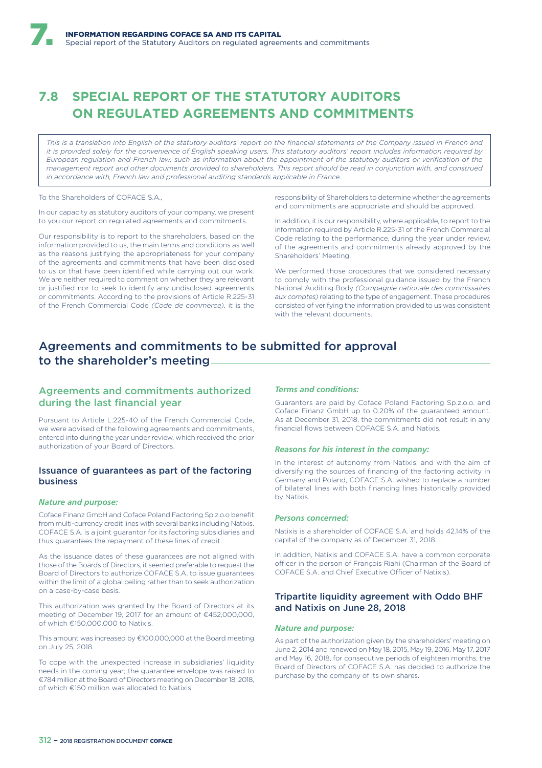# **7.8 SPECIAL REPORT OF THE STATUTORY AUDITORS ON REGULATED AGREEMENTS AND COMMITMENTS**

*This is a translation into English of the statutory auditors' report on the financial statements of the Company issued in French and it is provided solely for the convenience of English speaking users. This statutory auditors' report includes information required by European regulation and French law, such as information about the appointment of the statutory auditors or verification of the management report and other documents provided to shareholders. This report should be read in conjunction with, and construed in accordance with, French law and professional auditing standards applicable in France.*

To the Shareholders of COEACE S.A.

In our capacity as statutory auditors of your company, we present to you our report on regulated agreements and commitments.

Our responsibility is to report to the shareholders, based on the information provided to us, the main terms and conditions as well as the reasons justifying the appropriateness for your company of the agreements and commitments that have been disclosed to us or that have been identified while carrying out our work. We are neither required to comment on whether they are relevant or justified nor to seek to identify any undisclosed agreements or commitments. According to the provisions of Article R.225-31 of the French Commercial Code *(Code de commerce)*, it is the responsibility of Shareholders to determine whether the agreements and commitments are appropriate and should be approved.

In addition, it is our responsibility, where applicable, to report to the information required by Article R.225-31 of the French Commercial Code relating to the performance, during the year under review, of the agreements and commitments already approved by the Shareholders' Meeting.

We performed those procedures that we considered necessary to comply with the professional guidance issued by the French National Auditing Body *(Compagnie nationale des commissaires aux comptes)* relating to the type of engagement. These procedures consisted of verifying the information provided to us was consistent with the relevant documents.

## Agreements and commitments to be submitted for approval to the shareholder's meeting

### Agreements and commitments authorized during the last financial year

Pursuant to Article L.225-40 of the French Commercial Code, we were advised of the following agreements and commitments, entered into during the year under review, which received the prior authorization of your Board of Directors.

### Issuance of guarantees as part of the factoring business

### *Nature and purpose:*

Coface Finanz GmbH and Coface Poland Factoring Sp.z.o.o benefit from multi-currency credit lines with several banks including Natixis. COFACE S.A. is a joint guarantor for its factoring subsidiaries and thus guarantees the repayment of these lines of credit.

As the issuance dates of these guarantees are not aligned with those of the Boards of Directors, it seemed preferable to request the Board of Directors to authorize COFACE S.A. to issue guarantees within the limit of a global ceiling rather than to seek authorization on a case-by-case basis.

This authorization was granted by the Board of Directors at its meeting of December 19, 2017 for an amount of €452,000,000, of which €150,000,000 to Natixis.

This amount was increased by €100,000,000 at the Board meeting on July 25, 2018.

To cope with the unexpected increase in subsidiaries' liquidity needs in the coming year; the guarantee envelope was raised to €784 million at the Board of Directors meeting on December 18, 2018, of which €150 million was allocated to Natixis.

### *Terms and conditions:*

Guarantors are paid by Coface Poland Factoring Sp.z.o.o. and Coface Finanz GmbH up to 0.20% of the guaranteed amount. As at December 31, 2018, the commitments did not result in any financial flows between COFACE S.A. and Natixis.

### *Reasons for his interest in the company:*

In the interest of autonomy from Natixis, and with the aim of diversifying the sources of financing of the factoring activity in Germany and Poland, COFACE S.A. wished to replace a number of bilateral lines with both financing lines historically provided by Natixis.

#### *Persons concerned:*

Nativis is a shareholder of COEACE S.A. and holds 42.14% of the capital of the company as of December 31, 2018.

In addition, Natixis and COFACE S.A. have a common corporate officer in the person of François Riahi (Chairman of the Board of COFACE S.A. and Chief Executive Officer of Natixis).

### Tripartite liquidity agreement with Oddo BHF and Natixis on June 28, 2018

#### *Nature and purpose:*

As part of the authorization given by the shareholders' meeting on June 2, 2014 and renewed on May 18, 2015, May 19, 2016, May 17, 2017 and May 16, 2018, for consecutive periods of eighteen months, the Board of Directors of COFACE S.A. has decided to authorize the purchase by the company of its own shares.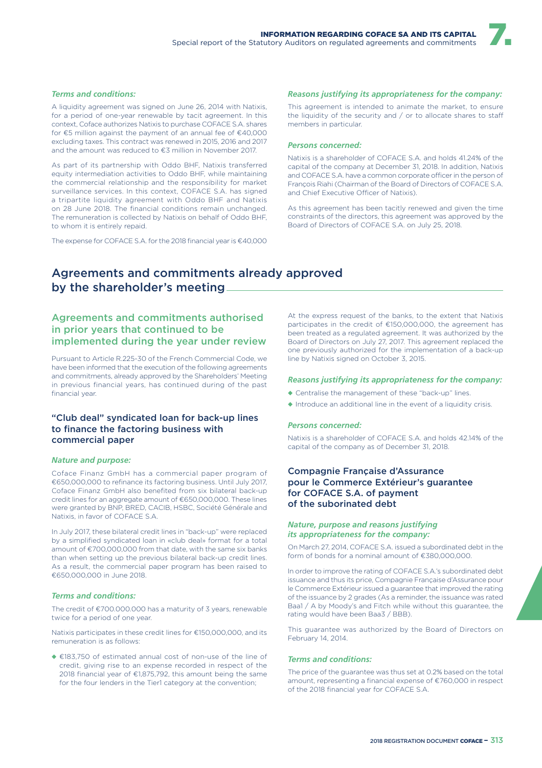### *Terms and conditions:*

A liquidity agreement was signed on June 26, 2014 with Natixis, for a period of one-year renewable by tacit agreement. In this context, Coface authorizes Natixis to purchase COFACE S.A. shares for €5 million against the payment of an annual fee of €40,000 excluding taxes. This contract was renewed in 2015, 2016 and 2017 and the amount was reduced to €3 million in November 2017.

As part of its partnership with Oddo BHF, Natixis transferred equity intermediation activities to Oddo BHF, while maintaining the commercial relationship and the responsibility for market surveillance services. In this context, COFACE S.A. has signed a tripartite liquidity agreement with Oddo BHF and Natixis on 28 June 2018. The financial conditions remain unchanged. The remuneration is collected by Natixis on behalf of Oddo BHF, to whom it is entirely repaid.

The expense for COFACE S.A. for the 2018 financial year is €40,000

### *Reasons justifying its appropriateness for the company:*

This agreement is intended to animate the market, to ensure the liquidity of the security and  $/$  or to allocate shares to staff members in particular.

#### *Persons concerned:*

Natixis is a shareholder of COFACE S.A. and holds 41.24% of the capital of the company at December 31, 2018. In addition, Natixis and COFACE S.A. have a common corporate officer in the person of François Riahi (Chairman of the Board of Directors of COFACE S.A. and Chief Executive Officer of Natixis).

As this agreement has been tacitly renewed and given the time constraints of the directors, this agreement was approved by the Board of Directors of COFACE S.A. on July 25, 2018.

## Agreements and commitments already approved by the shareholder's meeting

### Agreements and commitments authorised in prior years that continued to be implemented during the year under review

Pursuant to Article R.225-30 of the French Commercial Code, we have been informed that the execution of the following agreements and commitments, already approved by the Shareholders' Meeting in previous financial years, has continued during of the past financial year.

### "Club deal" syndicated loan for back-up lines to finance the factoring business with commercial paper

#### *Nature and purpose:*

Coface Finanz GmbH has a commercial paper program of €650,000,000 to refinance its factoring business. Until July 2017, Coface Finanz GmbH also benefited from six bilateral back-up credit lines for an aggregate amount of €650,000,000. These lines were granted by BNP, BRED, CACIB, HSBC, Société Générale and Natixis, in favor of COFACE S.A.

In July 2017, these bilateral credit lines in "back-up" were replaced by a simplified syndicated loan in «club deal» format for a total amount of €700,000,000 from that date, with the same six banks than when setting up the previous bilateral back-up credit lines. As a result, the commercial paper program has been raised to €650,000,000 in June 2018.

### *Terms and conditions:*

The credit of €700.000.000 has a maturity of 3 years, renewable twice for a period of one year.

Natixis participates in these credit lines for €150,000,000, and its remuneration is as follows:

◆ €183,750 of estimated annual cost of non-use of the line of credit, giving rise to an expense recorded in respect of the 2018 financial year of €1,875,792, this amount being the same for the four lenders in the Tier1 category at the convention;

At the express request of the banks, to the extent that Natixis participates in the credit of €150,000,000, the agreement has been treated as a regulated agreement. It was authorized by the Board of Directors on July 27, 2017. This agreement replaced the one previously authorized for the implementation of a back-up line by Natixis signed on October 3, 2015.

#### *Reasons justifying its appropriateness for the company:*

- ◆ Centralise the management of these "back-up" lines.
- ◆ Introduce an additional line in the event of a liquidity crisis.

### *Persons concerned:*

Natixis is a shareholder of COFACE S.A. and holds 42.14% of the capital of the company as of December 31, 2018.

### Compagnie Française d'Assurance pour le Commerce Extérieur's guarantee for COFACE S.A. of payment of the suborinated debt

### *Nature, purpose and reasons justifying its appropriateness for the company:*

On March 27, 2014, COFACE S.A. issued a subordinated debt in the form of bonds for a nominal amount of €380,000,000.

In order to improve the rating of COFACE S.A.'s subordinated debt issuance and thus its price, Compagnie Française d'Assurance pour le Commerce Extérieur issued a guarantee that improved the rating of the issuance by 2 grades (As a reminder, the issuance was rated Baa1 / A by Moody's and Fitch while without this guarantee, the rating would have been Baa3 / BBB).

This guarantee was authorized by the Board of Directors on February 14, 2014.

### *Terms and conditions:*

The price of the guarantee was thus set at 0.2% based on the total amount, representing a financial expense of €760,000 in respect of the 2018 financial year for COFACE S.A.